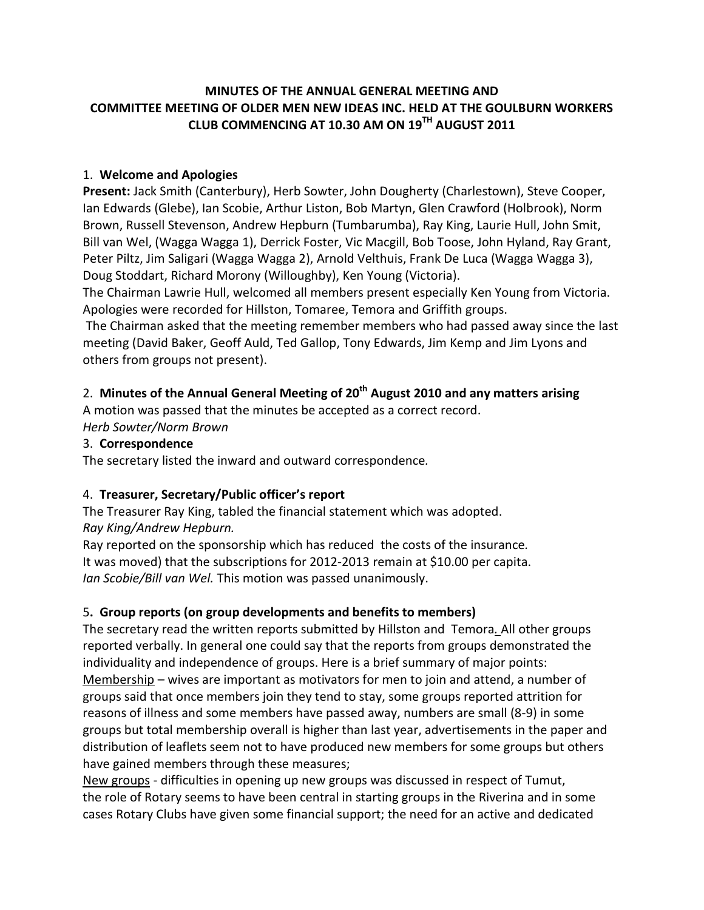### **MINUTES OF THE ANNUAL GENERAL MEETING AND COMMITTEE MEETING OF OLDER MEN NEW IDEAS INC. HELD AT THE GOULBURN WORKERS CLUB COMMENCING AT 10.30 AM ON 19TH AUGUST 2011**

### 1. **Welcome and Apologies**

**Present:** Jack Smith (Canterbury), Herb Sowter, John Dougherty (Charlestown), Steve Cooper, Ian Edwards (Glebe), Ian Scobie, Arthur Liston, Bob Martyn, Glen Crawford (Holbrook), Norm Brown, Russell Stevenson, Andrew Hepburn (Tumbarumba), Ray King, Laurie Hull, John Smit, Bill van Wel, (Wagga Wagga 1), Derrick Foster, Vic Macgill, Bob Toose, John Hyland, Ray Grant, Peter Piltz, Jim Saligari (Wagga Wagga 2), Arnold Velthuis, Frank De Luca (Wagga Wagga 3), Doug Stoddart, Richard Morony (Willoughby), Ken Young (Victoria).

The Chairman Lawrie Hull, welcomed all members present especially Ken Young from Victoria. Apologies were recorded for Hillston, Tomaree, Temora and Griffith groups.

The Chairman asked that the meeting remember members who had passed away since the last meeting (David Baker, Geoff Auld, Ted Gallop, Tony Edwards, Jim Kemp and Jim Lyons and others from groups not present).

# 2. **Minutes of the Annual General Meeting of 20th August 2010 and any matters arising**

A motion was passed that the minutes be accepted as a correct record. *Herb Sowter/Norm Brown*

### 3. **Correspondence**

The secretary listed the inward and outward correspondence*.*

### 4. **Treasurer, Secretary/Public officer's report**

The Treasurer Ray King, tabled the financial statement which was adopted. *Ray King/Andrew Hepburn.*

Ray reported on the sponsorship which has reduced the costs of the insurance*.* It was moved) that the subscriptions for 2012-2013 remain at \$10.00 per capita. *Ian Scobie/Bill van Wel.* This motion was passed unanimously.

# 5**. Group reports (on group developments and benefits to members)**

The secretary read the written reports submitted by Hillston and Temora*.* All other groups reported verbally. In general one could say that the reports from groups demonstrated the individuality and independence of groups. Here is a brief summary of major points: Membership – wives are important as motivators for men to join and attend, a number of groups said that once members join they tend to stay, some groups reported attrition for reasons of illness and some members have passed away, numbers are small (8-9) in some groups but total membership overall is higher than last year, advertisements in the paper and distribution of leaflets seem not to have produced new members for some groups but others have gained members through these measures;

New groups - difficulties in opening up new groups was discussed in respect of Tumut, the role of Rotary seems to have been central in starting groups in the Riverina and in some cases Rotary Clubs have given some financial support; the need for an active and dedicated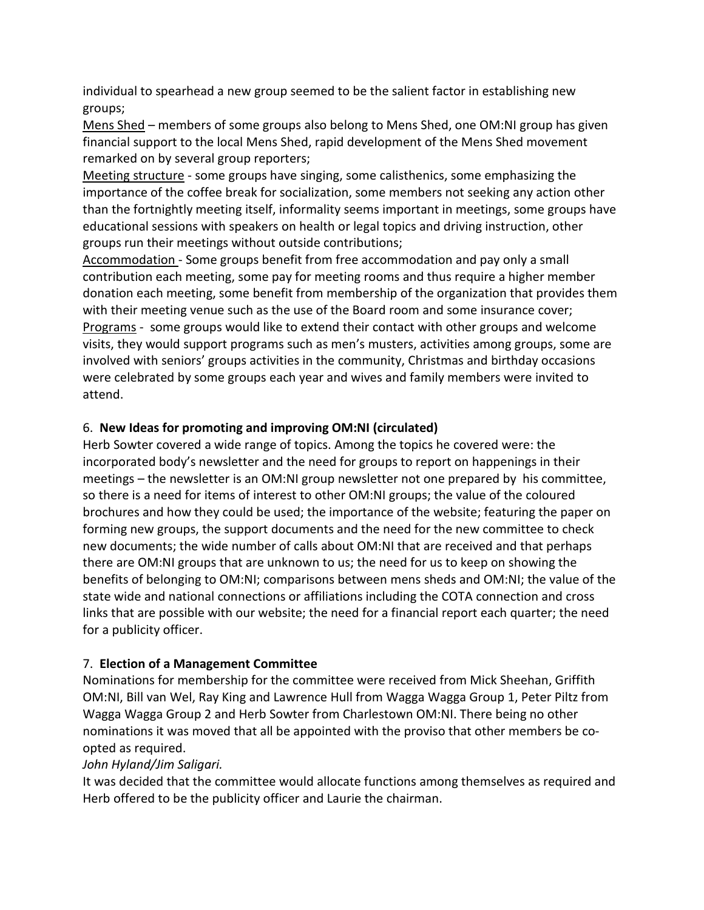individual to spearhead a new group seemed to be the salient factor in establishing new groups;

Mens Shed – members of some groups also belong to Mens Shed, one OM:NI group has given financial support to the local Mens Shed, rapid development of the Mens Shed movement remarked on by several group reporters;

Meeting structure - some groups have singing, some calisthenics, some emphasizing the importance of the coffee break for socialization, some members not seeking any action other than the fortnightly meeting itself, informality seems important in meetings, some groups have educational sessions with speakers on health or legal topics and driving instruction, other groups run their meetings without outside contributions;

Accommodation - Some groups benefit from free accommodation and pay only a small contribution each meeting, some pay for meeting rooms and thus require a higher member donation each meeting, some benefit from membership of the organization that provides them with their meeting venue such as the use of the Board room and some insurance cover; Programs - some groups would like to extend their contact with other groups and welcome visits, they would support programs such as men's musters, activities among groups, some are involved with seniors' groups activities in the community, Christmas and birthday occasions were celebrated by some groups each year and wives and family members were invited to attend.

## 6. **New Ideas for promoting and improving OM:NI (circulated)**

Herb Sowter covered a wide range of topics. Among the topics he covered were: the incorporated body's newsletter and the need for groups to report on happenings in their meetings – the newsletter is an OM:NI group newsletter not one prepared by his committee, so there is a need for items of interest to other OM:NI groups; the value of the coloured brochures and how they could be used; the importance of the website; featuring the paper on forming new groups, the support documents and the need for the new committee to check new documents; the wide number of calls about OM:NI that are received and that perhaps there are OM:NI groups that are unknown to us; the need for us to keep on showing the benefits of belonging to OM:NI; comparisons between mens sheds and OM:NI; the value of the state wide and national connections or affiliations including the COTA connection and cross links that are possible with our website; the need for a financial report each quarter; the need for a publicity officer.

### 7. **Election of a Management Committee**

Nominations for membership for the committee were received from Mick Sheehan, Griffith OM:NI, Bill van Wel, Ray King and Lawrence Hull from Wagga Wagga Group 1, Peter Piltz from Wagga Wagga Group 2 and Herb Sowter from Charlestown OM:NI. There being no other nominations it was moved that all be appointed with the proviso that other members be coopted as required.

### *John Hyland/Jim Saligari.*

It was decided that the committee would allocate functions among themselves as required and Herb offered to be the publicity officer and Laurie the chairman.